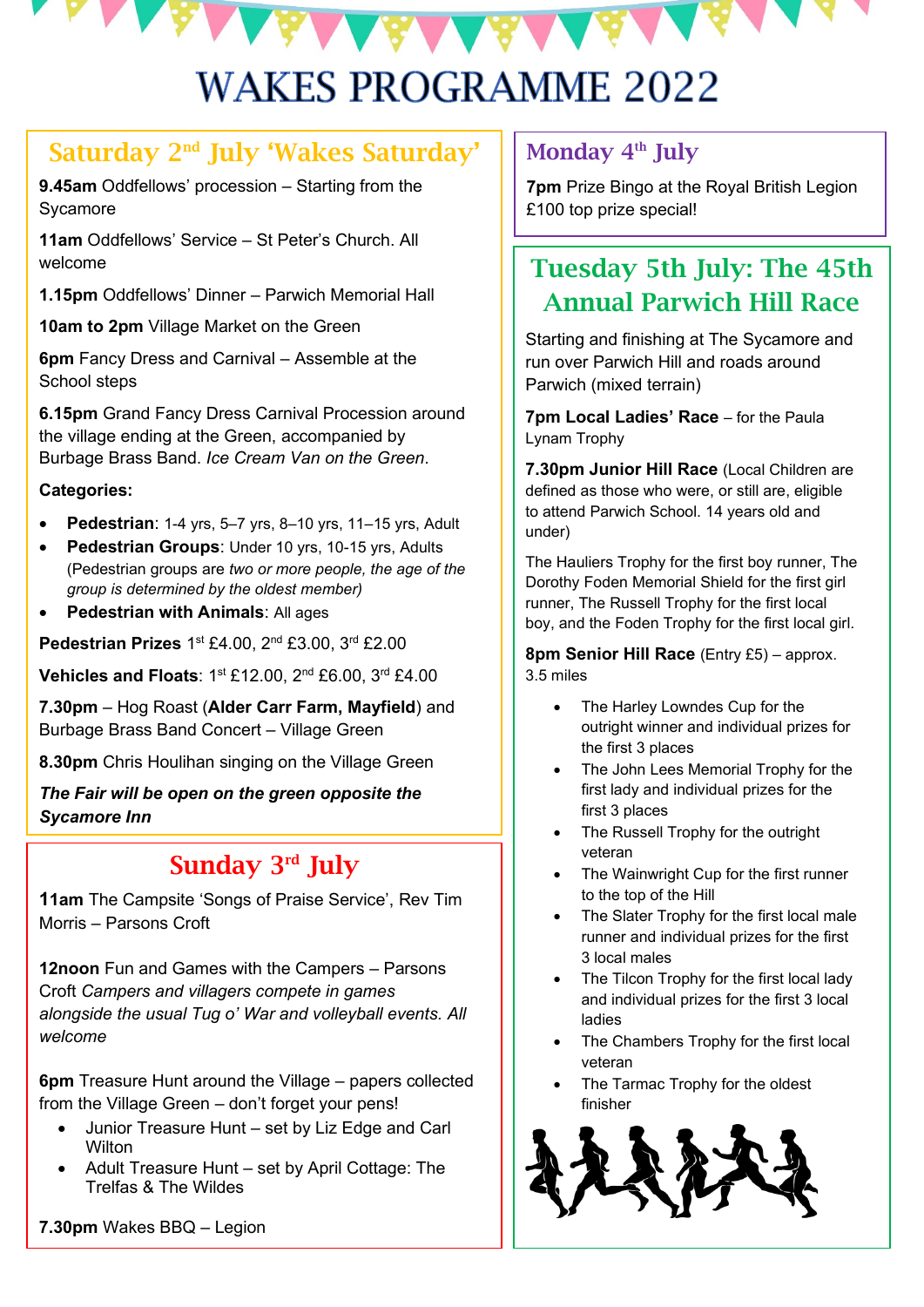# **WAKES PROGRAMME 2022**

#### Saturday 2nd July 'Wakes Saturday'

**9.45am** Oddfellows' procession – Starting from the Sycamore

**11am** Oddfellows' Service – St Peter's Church. All welcome

**1.15pm** Oddfellows' Dinner – Parwich Memorial Hall

**10am to 2pm** Village Market on the Green

**6pm** Fancy Dress and Carnival – Assemble at the School steps

**6.15pm** Grand Fancy Dress Carnival Procession around the village ending at the Green, accompanied by Burbage Brass Band. *Ice Cream Van on the Green*.

#### **Categories:**

- **Pedestrian**: 1-4 yrs, 5–7 yrs, 8–10 yrs, 11–15 yrs, Adult
- **Pedestrian Groups**: Under 10 yrs, 10-15 yrs, Adults (Pedestrian groups are *two or more people, the age of the group is determined by the oldest member)*
- **Pedestrian with Animals**: All ages

Pedestrian Prizes 1<sup>st</sup> £4.00, 2<sup>nd</sup> £3.00, 3<sup>rd</sup> £2.00

**Vehicles and Floats**: 1st £12.00, 2nd £6.00, 3rd £4.00

**7.30pm** – Hog Roast (**Alder Carr Farm, Mayfield**) and Burbage Brass Band Concert – Village Green

**8.30pm** Chris Houlihan singing on the Village Green

*The Fair will be open on the green opposite the Sycamore Inn*

# Sunday 3rd July

**11am** The Campsite 'Songs of Praise Service', Rev Tim Morris – Parsons Croft

**12noon** Fun and Games with the Campers – Parsons Croft *Campers and villagers compete in games alongside the usual Tug o' War and volleyball events. All welcome*

**6pm** Treasure Hunt around the Village – papers collected from the Village Green – don't forget your pens!

- Junior Treasure Hunt set by Liz Edge and Carl **Wilton**
- Adult Treasure Hunt set by April Cottage: The Trelfas & The Wildes

Monday 4<sup>th</sup> July

**7pm** Prize Bingo at the Royal British Legion £100 top prize special!

# Tuesday 5th July: The 45th Annual Parwich Hill Race

Starting and finishing at The Sycamore and run over Parwich Hill and roads around Parwich (mixed terrain)

**7pm Local Ladies' Race** – for the Paula Lynam Trophy

**7.30pm Junior Hill Race** (Local Children are defined as those who were, or still are, eligible to attend Parwich School. 14 years old and under)

The Hauliers Trophy for the first boy runner, The Dorothy Foden Memorial Shield for the first girl runner, The Russell Trophy for the first local boy, and the Foden Trophy for the first local girl.

**8pm Senior Hill Race** (Entry £5) – approx. 3.5 miles

- The Harley Lowndes Cup for the outright winner and individual prizes for the first 3 places
- The John Lees Memorial Trophy for the first lady and individual prizes for the first 3 places
- The Russell Trophy for the outright veteran
- The Wainwright Cup for the first runner to the top of the Hill
- The Slater Trophy for the first local male runner and individual prizes for the first 3 local males
- The Tilcon Trophy for the first local lady and individual prizes for the first 3 local ladies
- The Chambers Trophy for the first local veteran
- The Tarmac Trophy for the oldest finisher



**7.30pm** Wakes BBQ – Legion